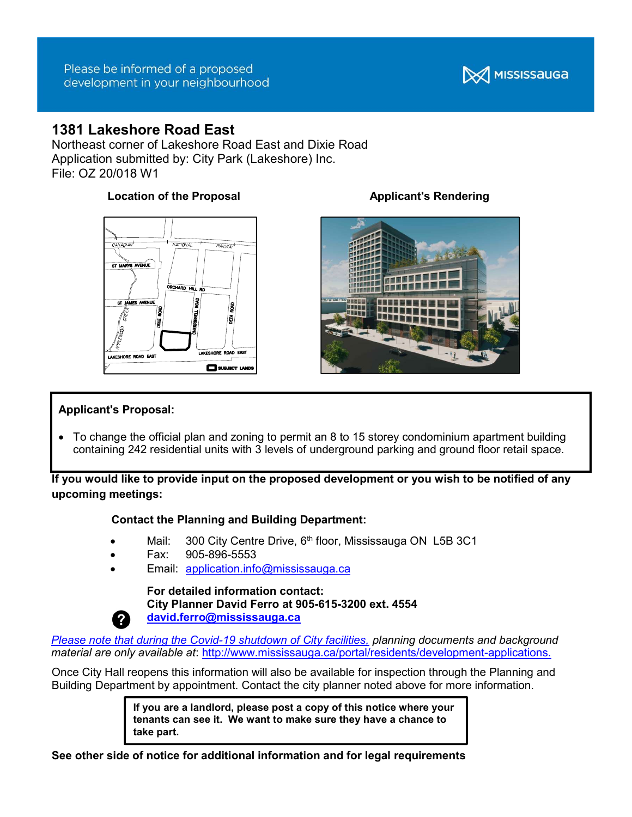

# 1381 Lakeshore Road East

Northeast corner of Lakeshore Road East and Dixie Road Application submitted by: City Park (Lakeshore) Inc. File: OZ 20/018 W1

## Location of the Proposal **Applicant's Rendering**





#### Applicant's Proposal:

 To change the official plan and zoning to permit an 8 to 15 storey condominium apartment building containing 242 residential units with 3 levels of underground parking and ground floor retail space.

If you would like to provide input on the proposed development or you wish to be notified of any upcoming meetings:

### Contact the Planning and Building Department:

- Mail: 300 City Centre Drive, 6<sup>th</sup> floor, Mississauga ON L5B 3C1
- Fax: 905-896-5553
- Email: application.info@mississauga.ca

### For detailed information contact: City Planner David Ferro at 905-615-3200 ext. 4554 david.ferro@mississauga.ca

Please note that during the Covid-19 shutdown of City facilities, planning documents and background material are only available at: http://www.mississauga.ca/portal/residents/development-applications.

Once City Hall reopens this information will also be available for inspection through the Planning and Building Department by appointment. Contact the city planner noted above for more information.

> If you are a landlord, please post a copy of this notice where your tenants can see it. We want to make sure they have a chance to take part.

See other side of notice for additional information and for legal requirements